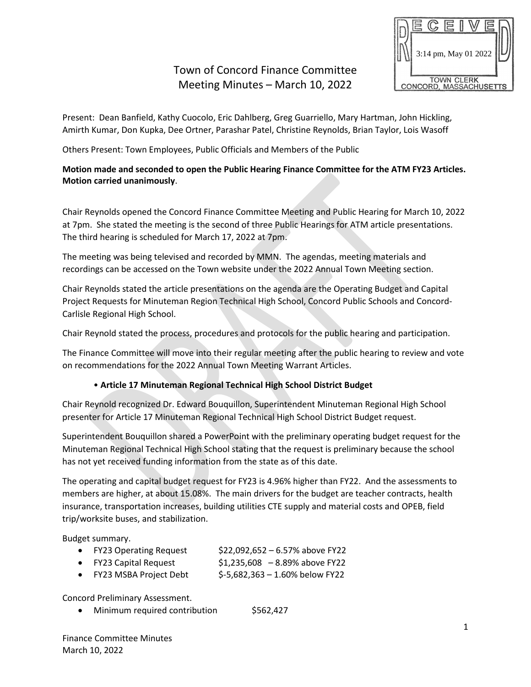# Town of Concord Finance Committee Meeting Minutes – March 10, 2022



Present: Dean Banfield, Kathy Cuocolo, Eric Dahlberg, Greg Guarriello, Mary Hartman, John Hickling, Amirth Kumar, Don Kupka, Dee Ortner, Parashar Patel, Christine Reynolds, Brian Taylor, Lois Wasoff

Others Present: Town Employees, Public Officials and Members of the Public

### **Motion made and seconded to open the Public Hearing Finance Committee for the ATM FY23 Articles. Motion carried unanimously**.

Chair Reynolds opened the Concord Finance Committee Meeting and Public Hearing for March 10, 2022 at 7pm. She stated the meeting is the second of three Public Hearings for ATM article presentations. The third hearing is scheduled for March 17, 2022 at 7pm.

The meeting was being televised and recorded by MMN. The agendas, meeting materials and recordings can be accessed on the Town website under the 2022 Annual Town Meeting section.

Chair Reynolds stated the article presentations on the agenda are the Operating Budget and Capital Project Requests for Minuteman Region Technical High School, Concord Public Schools and Concord-Carlisle Regional High School.

Chair Reynold stated the process, procedures and protocols for the public hearing and participation.

The Finance Committee will move into their regular meeting after the public hearing to review and vote on recommendations for the 2022 Annual Town Meeting Warrant Articles.

#### • **Article 17 Minuteman Regional Technical High School District Budget**

Chair Reynold recognized Dr. Edward Bouquillon, Superintendent Minuteman Regional High School presenter for Article 17 Minuteman Regional Technical High School District Budget request.

Superintendent Bouquillon shared a PowerPoint with the preliminary operating budget request for the Minuteman Regional Technical High School stating that the request is preliminary because the school has not yet received funding information from the state as of this date.

The operating and capital budget request for FY23 is 4.96% higher than FY22. And the assessments to members are higher, at about 15.08%. The main drivers for the budget are teacher contracts, health insurance, transportation increases, building utilities CTE supply and material costs and OPEB, field trip/worksite buses, and stabilization.

Budget summary.

|  | <b>FY23 Operating Request</b> | \$22,092,652 - 6.57% above FY22 |
|--|-------------------------------|---------------------------------|
|--|-------------------------------|---------------------------------|

- $FY23$  Capital Request  $$1,235,608$   $-8.89\%$  above FY22
- $FY23$  MSBA Project Debt  $$5,682,363 1.60\%$  below FY22

Concord Preliminary Assessment.

• Minimum required contribution \$562,427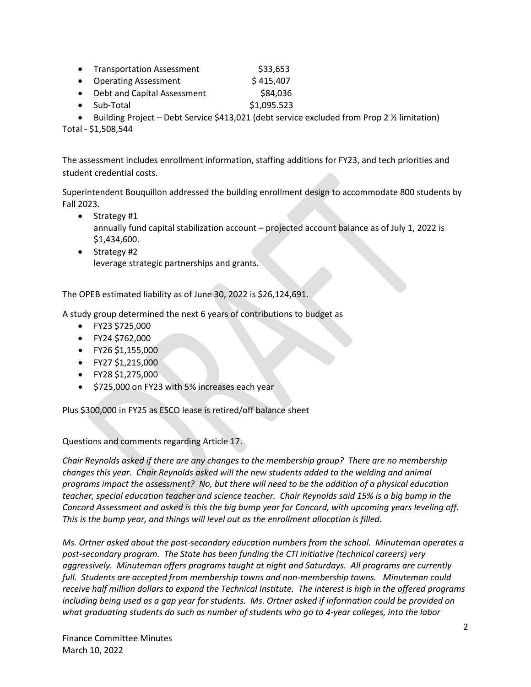- Transportation Assessment \$33,653
- Operating Assessment \$415,407
- Debt and Capital Assessment \$84,036
- Sub-Total  $$1,095.523$
- Building Project Debt Service \$413,021 (debt service excluded from Prop 2 1/2 limitation)

Total - \$1,508,544

The assessment includes enrollment information, staffing additions for FY23, and tech priorities and student credential costs.

Superintendent Bouquillon addressed the building enrollment design to accommodate 800 students by Fall 2023.

- Strategy #1 annually fund capital stabilization account – projected account balance as of July 1, 2022 is \$1,434,600.
- Strategy #2 leverage strategic partnerships and grants.

The OPEB estimated liability as of June 30, 2022 is \$26,124,691.

A study group determined the next 6 years of contributions to budget as

- FY23 \$725,000
- FY24 \$762,000
- FY26 \$1,155,000
- FY27 \$1,215,000
- FY28 \$1,275,000
- \$725,000 on FY23 with 5% increases each year

Plus \$300,000 in FY25 as ESCO lease is retired/off balance sheet

Questions and comments regarding Article 17.

*Chair Reynolds asked if there are any changes to the membership group? There are no membership changes this year. Chair Reynolds asked will the new students added to the welding and animal programs impact the assessment? No, but there will need to be the addition of a physical education teacher, special education teacher and science teacher. Chair Reynolds said 15% is a big bump in the Concord Assessment and asked is this the big bump year for Concord, with upcoming years leveling off. This is the bump year, and things will level out as the enrollment allocation is filled.*

*Ms. Ortner asked about the post-secondary education numbers from the school. Minuteman operates a post-secondary program. The State has been funding the CTI initiative (technical careers) very aggressively. Minuteman offers programs taught at night and Saturdays. All programs are currently full. Students are accepted from membership towns and non-membership towns. Minuteman could receive half million dollars to expand the Technical Institute. The interest is high in the offered programs including being used as a gap year for students. Ms. Ortner asked if information could be provided on what graduating students do such as number of students who go to 4-year colleges, into the labor*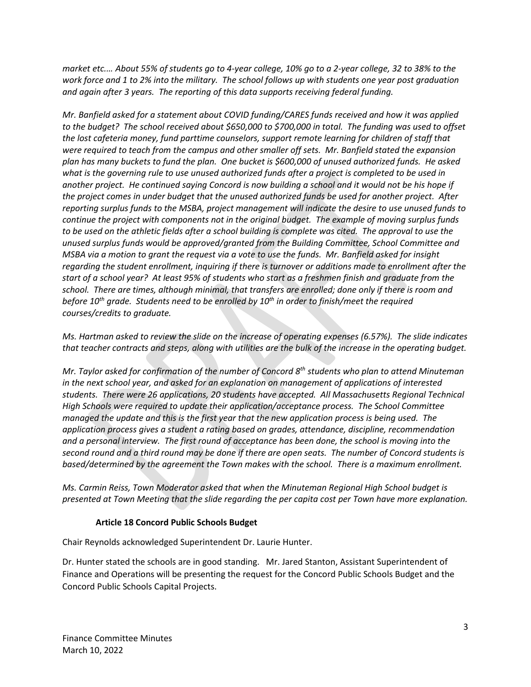*market etc.… About 55% of students go to 4-year college, 10% go to a 2-year college, 32 to 38% to the work force and 1 to 2% into the military. The school follows up with students one year post graduation and again after 3 years. The reporting of this data supports receiving federal funding.*

*Mr. Banfield asked for a statement about COVID funding/CARES funds received and how it was applied to the budget? The school received about \$650,000 to \$700,000 in total. The funding was used to offset the lost cafeteria money, fund parttime counselors, support remote learning for children of staff that were required to teach from the campus and other smaller off sets. Mr. Banfield stated the expansion plan has many buckets to fund the plan. One bucket is \$600,000 of unused authorized funds. He asked what is the governing rule to use unused authorized funds after a project is completed to be used in another project. He continued saying Concord is now building a school and it would not be his hope if the project comes in under budget that the unused authorized funds be used for another project. After reporting surplus funds to the MSBA, project management will indicate the desire to use unused funds to continue the project with components not in the original budget. The example of moving surplus funds to be used on the athletic fields after a school building is complete was cited. The approval to use the unused surplus funds would be approved/granted from the Building Committee, School Committee and MSBA via a motion to grant the request via a vote to use the funds. Mr. Banfield asked for insight regarding the student enrollment, inquiring if there is turnover or additions made to enrollment after the start of a school year? At least 95% of students who start as a freshmen finish and graduate from the school. There are times, although minimal, that transfers are enrolled; done only if there is room and before 10th grade. Students need to be enrolled by 10th in order to finish/meet the required courses/credits to graduate.* 

*Ms. Hartman asked to review the slide on the increase of operating expenses (6.57%). The slide indicates that teacher contracts and steps, along with utilities are the bulk of the increase in the operating budget.* 

*Mr. Taylor asked for confirmation of the number of Concord 8th students who plan to attend Minuteman in the next school year, and asked for an explanation on management of applications of interested students. There were 26 applications, 20 students have accepted. All Massachusetts Regional Technical High Schools were required to update their application/acceptance process. The School Committee managed the update and this is the first year that the new application process is being used. The application process gives a student a rating based on grades, attendance, discipline, recommendation and a personal interview. The first round of acceptance has been done, the school is moving into the second round and a third round may be done if there are open seats. The number of Concord students is based/determined by the agreement the Town makes with the school. There is a maximum enrollment.*

*Ms. Carmin Reiss, Town Moderator asked that when the Minuteman Regional High School budget is presented at Town Meeting that the slide regarding the per capita cost per Town have more explanation.*

#### **Article 18 Concord Public Schools Budget**

Chair Reynolds acknowledged Superintendent Dr. Laurie Hunter.

Dr. Hunter stated the schools are in good standing. Mr. Jared Stanton, Assistant Superintendent of Finance and Operations will be presenting the request for the Concord Public Schools Budget and the Concord Public Schools Capital Projects.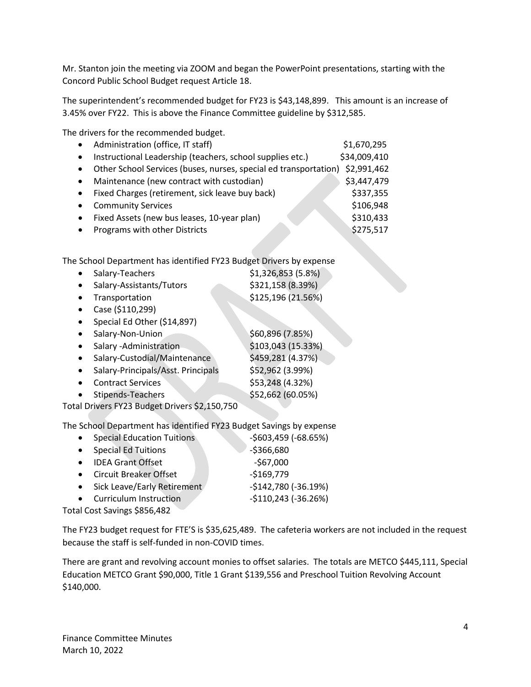Mr. Stanton join the meeting via ZOOM and began the PowerPoint presentations, starting with the Concord Public School Budget request Article 18.

The superintendent's recommended budget for FY23 is \$43,148,899. This amount is an increase of 3.45% over FY22. This is above the Finance Committee guideline by \$312,585.

The drivers for the recommended budget.

| Administration (office, IT staff)                         | \$1,670,295                                                      |
|-----------------------------------------------------------|------------------------------------------------------------------|
| Instructional Leadership (teachers, school supplies etc.) | \$34,009,410                                                     |
|                                                           | \$2,991,462                                                      |
| Maintenance (new contract with custodian)                 | \$3,447,479                                                      |
| Fixed Charges (retirement, sick leave buy back)           | \$337,355                                                        |
| <b>Community Services</b>                                 | \$106,948                                                        |
| Fixed Assets (new bus leases, 10-year plan)               | \$310,433                                                        |
| Programs with other Districts                             | \$275,517                                                        |
|                                                           | Other School Services (buses, nurses, special ed transportation) |

The School Department has identified FY23 Budget Drivers by expense

| Salary-Teachers                                                                                                                                                                                                                                                                        | \$1,326,853(5.8%)  |
|----------------------------------------------------------------------------------------------------------------------------------------------------------------------------------------------------------------------------------------------------------------------------------------|--------------------|
| Salary-Assistants/Tutors                                                                                                                                                                                                                                                               | \$321,158 (8.39%)  |
| Transportation                                                                                                                                                                                                                                                                         | \$125,196 (21.56%) |
| Case (\$110,299)                                                                                                                                                                                                                                                                       |                    |
| Special Ed Other (\$14,897)                                                                                                                                                                                                                                                            |                    |
| Salary-Non-Union                                                                                                                                                                                                                                                                       | \$60,896 (7.85%)   |
| Salary - Administration                                                                                                                                                                                                                                                                | \$103,043 (15.33%) |
| Salary-Custodial/Maintenance                                                                                                                                                                                                                                                           | \$459,281 (4.37%)  |
| Salary-Principals/Asst. Principals                                                                                                                                                                                                                                                     | \$52,962 (3.99%)   |
| <b>Contract Services</b>                                                                                                                                                                                                                                                               | \$53,248 (4.32%)   |
| Stipends-Teachers                                                                                                                                                                                                                                                                      | \$52,662 (60.05%)  |
| $\sim$ LD $\sim$ LO $\sim$ LO $\sim$ Lo $\sim$ Lo $\sim$ Lo $\sim$ Lo $\sim$ LO $\sim$ LO $\sim$ LO $\sim$ LO $\sim$ LO $\sim$ LO $\sim$ LO $\sim$ LO $\sim$ LO $\sim$ LO $\sim$ LO $\sim$ LO $\sim$ LO $\sim$ LO $\sim$ LO $\sim$ LO $\sim$ LO $\sim$ LO $\sim$ LO $\sim$ LO $\sim$ L |                    |

Total Drivers FY23 Budget Drivers \$2,150,750

The School Department has identified FY23 Budget Savings by expense

| $\bullet$ | <b>Special Education Tuitions</b> | $-5603,459$ ( $-68.65\%$ ) |  |
|-----------|-----------------------------------|----------------------------|--|
| $\bullet$ | <b>Special Ed Tuitions</b>        | $-5366,680$                |  |
| $\bullet$ | <b>IDEA Grant Offset</b>          | $-$67,000$                 |  |
|           | • Circuit Breaker Offset          | $-$169,779$                |  |
|           | Sick Leave/Early Retirement       | $-$142,780 (-36.19%)$      |  |
| $\bullet$ | <b>Curriculum Instruction</b>     | $-$110,243 (-36.26%)$      |  |
|           | $10.10 \times 10^{-1}$            |                            |  |

Total Cost Savings \$856,482

The FY23 budget request for FTE'S is \$35,625,489. The cafeteria workers are not included in the request because the staff is self-funded in non-COVID times.

There are grant and revolving account monies to offset salaries. The totals are METCO \$445,111, Special Education METCO Grant \$90,000, Title 1 Grant \$139,556 and Preschool Tuition Revolving Account \$140,000.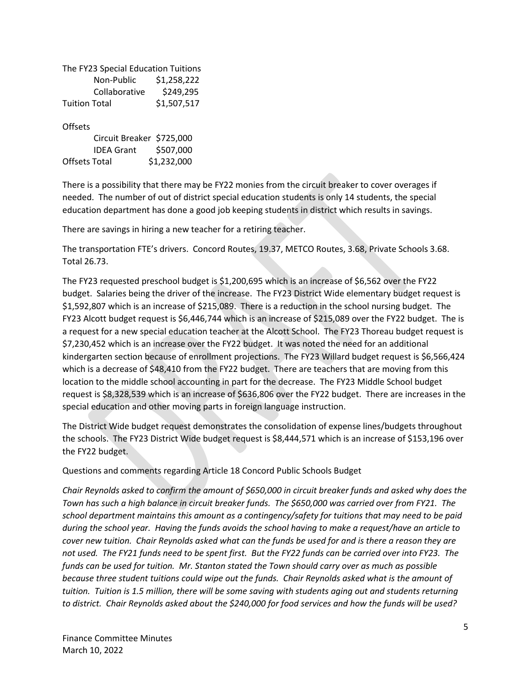The FY23 Special Education Tuitions Non-Public \$1,258,222 Collaborative \$249,295 Tuition Total \$1,507,517

**Offsets** 

| Circuit Breaker \$725,000 |             |
|---------------------------|-------------|
| <b>IDEA Grant</b>         | \$507,000   |
| Offsets Total             | \$1,232,000 |

There is a possibility that there may be FY22 monies from the circuit breaker to cover overages if needed. The number of out of district special education students is only 14 students, the special education department has done a good job keeping students in district which results in savings.

There are savings in hiring a new teacher for a retiring teacher.

The transportation FTE's drivers. Concord Routes, 19.37, METCO Routes, 3.68, Private Schools 3.68. Total 26.73.

The FY23 requested preschool budget is \$1,200,695 which is an increase of \$6,562 over the FY22 budget. Salaries being the driver of the increase. The FY23 District Wide elementary budget request is \$1,592,807 which is an increase of \$215,089. There is a reduction in the school nursing budget. The FY23 Alcott budget request is \$6,446,744 which is an increase of \$215,089 over the FY22 budget. The is a request for a new special education teacher at the Alcott School. The FY23 Thoreau budget request is \$7,230,452 which is an increase over the FY22 budget. It was noted the need for an additional kindergarten section because of enrollment projections. The FY23 Willard budget request is \$6,566,424 which is a decrease of \$48,410 from the FY22 budget. There are teachers that are moving from this location to the middle school accounting in part for the decrease. The FY23 Middle School budget request is \$8,328,539 which is an increase of \$636,806 over the FY22 budget. There are increases in the special education and other moving parts in foreign language instruction.

The District Wide budget request demonstrates the consolidation of expense lines/budgets throughout the schools. The FY23 District Wide budget request is \$8,444,571 which is an increase of \$153,196 over the FY22 budget.

Questions and comments regarding Article 18 Concord Public Schools Budget

*Chair Reynolds asked to confirm the amount of \$650,000 in circuit breaker funds and asked why does the Town has such a high balance in circuit breaker funds. The \$650,000 was carried over from FY21. The school department maintains this amount as a contingency/safety for tuitions that may need to be paid during the school year. Having the funds avoids the school having to make a request/have an article to cover new tuition. Chair Reynolds asked what can the funds be used for and is there a reason they are not used. The FY21 funds need to be spent first. But the FY22 funds can be carried over into FY23. The funds can be used for tuition. Mr. Stanton stated the Town should carry over as much as possible because three student tuitions could wipe out the funds. Chair Reynolds asked what is the amount of tuition. Tuition is 1.5 million, there will be some saving with students aging out and students returning to district. Chair Reynolds asked about the \$240,000 for food services and how the funds will be used?*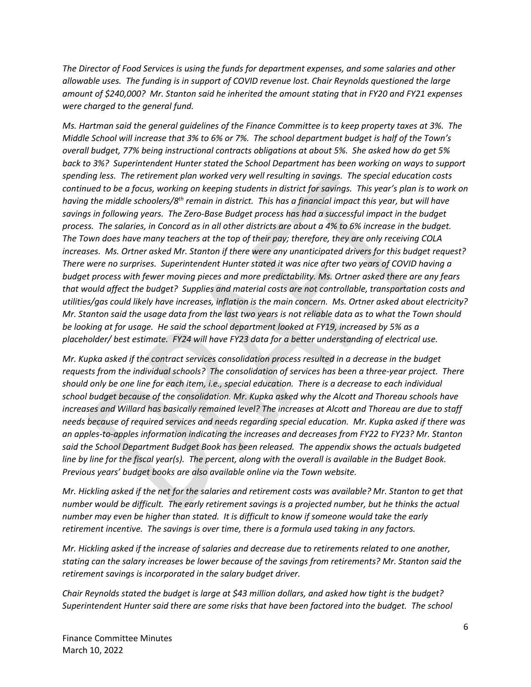*The Director of Food Services is using the funds for department expenses, and some salaries and other allowable uses. The funding is in support of COVID revenue lost. Chair Reynolds questioned the large amount of \$240,000? Mr. Stanton said he inherited the amount stating that in FY20 and FY21 expenses were charged to the general fund.*

*Ms. Hartman said the general guidelines of the Finance Committee is to keep property taxes at 3%. The Middle School will increase that 3% to 6% or 7%. The school department budget is half of the Town's overall budget, 77% being instructional contracts obligations at about 5%. She asked how do get 5% back to 3%? Superintendent Hunter stated the School Department has been working on ways to support spending less. The retirement plan worked very well resulting in savings. The special education costs continued to be a focus, working on keeping students in district for savings. This year's plan is to work on having the middle schoolers/8th remain in district. This has a financial impact this year, but will have savings in following years. The Zero-Base Budget process has had a successful impact in the budget process. The salaries, in Concord as in all other districts are about a 4% to 6% increase in the budget. The Town does have many teachers at the top of their pay; therefore, they are only receiving COLA increases. Ms. Ortner asked Mr. Stanton if there were any unanticipated drivers for this budget request? There were no surprises. Superintendent Hunter stated it was nice after two years of COVID having a budget process with fewer moving pieces and more predictability. Ms. Ortner asked there are any fears that would affect the budget? Supplies and material costs are not controllable, transportation costs and utilities/gas could likely have increases, inflation is the main concern. Ms. Ortner asked about electricity? Mr. Stanton said the usage data from the last two years is not reliable data as to what the Town should be looking at for usage. He said the school department looked at FY19, increased by 5% as a placeholder/ best estimate. FY24 will have FY23 data for a better understanding of electrical use.* 

*Mr. Kupka asked if the contract services consolidation process resulted in a decrease in the budget requests from the individual schools? The consolidation of services has been a three-year project. There should only be one line for each item, i.e., special education. There is a decrease to each individual school budget because of the consolidation. Mr. Kupka asked why the Alcott and Thoreau schools have increases and Willard has basically remained level? The increases at Alcott and Thoreau are due to staff needs because of required services and needs regarding special education. Mr. Kupka asked if there was an apples-to-apples information indicating the increases and decreases from FY22 to FY23? Mr. Stanton said the School Department Budget Book has been released. The appendix shows the actuals budgeted line by line for the fiscal year(s). The percent, along with the overall is available in the Budget Book. Previous years' budget books are also available online via the Town website.*

*Mr. Hickling asked if the net for the salaries and retirement costs was available? Mr. Stanton to get that number would be difficult. The early retirement savings is a projected number, but he thinks the actual number may even be higher than stated. It is difficult to know if someone would take the early retirement incentive. The savings is over time, there is a formula used taking in any factors.* 

*Mr. Hickling asked if the increase of salaries and decrease due to retirements related to one another, stating can the salary increases be lower because of the savings from retirements? Mr. Stanton said the retirement savings is incorporated in the salary budget driver.*

*Chair Reynolds stated the budget is large at \$43 million dollars, and asked how tight is the budget? Superintendent Hunter said there are some risks that have been factored into the budget. The school*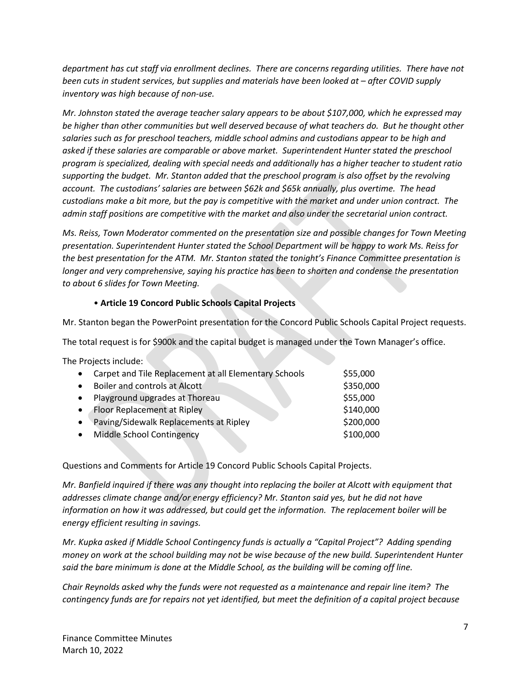*department has cut staff via enrollment declines. There are concerns regarding utilities. There have not been cuts in student services, but supplies and materials have been looked at – after COVID supply inventory was high because of non-use.*

*Mr. Johnston stated the average teacher salary appears to be about \$107,000, which he expressed may be higher than other communities but well deserved because of what teachers do. But he thought other salaries such as for preschool teachers, middle school admins and custodians appear to be high and asked if these salaries are comparable or above market. Superintendent Hunter stated the preschool program is specialized, dealing with special needs and additionally has a higher teacher to student ratio supporting the budget. Mr. Stanton added that the preschool program is also offset by the revolving account. The custodians' salaries are between \$62k and \$65k annually, plus overtime. The head custodians make a bit more, but the pay is competitive with the market and under union contract. The admin staff positions are competitive with the market and also under the secretarial union contract.* 

*Ms. Reiss, Town Moderator commented on the presentation size and possible changes for Town Meeting presentation. Superintendent Hunter stated the School Department will be happy to work Ms. Reiss for the best presentation for the ATM. Mr. Stanton stated the tonight's Finance Committee presentation is longer and very comprehensive, saying his practice has been to shorten and condense the presentation to about 6 slides for Town Meeting.*

#### • **Article 19 Concord Public Schools Capital Projects**

Mr. Stanton began the PowerPoint presentation for the Concord Public Schools Capital Project requests.

The total request is for \$900k and the capital budget is managed under the Town Manager's office.

The Projects include:

| Carpet and Tile Replacement at all Elementary Schools | \$55,000  |
|-------------------------------------------------------|-----------|
| Boiler and controls at Alcott                         | \$350,000 |
| Playground upgrades at Thoreau                        | \$55,000  |
| Floor Replacement at Ripley                           | \$140,000 |
| Paving/Sidewalk Replacements at Ripley                | \$200,000 |
| Middle School Contingency                             | \$100,000 |
|                                                       |           |

Questions and Comments for Article 19 Concord Public Schools Capital Projects.

*Mr. Banfield inquired if there was any thought into replacing the boiler at Alcott with equipment that addresses climate change and/or energy efficiency? Mr. Stanton said yes, but he did not have information on how it was addressed, but could get the information. The replacement boiler will be energy efficient resulting in savings.*

*Mr. Kupka asked if Middle School Contingency funds is actually a "Capital Project"? Adding spending money on work at the school building may not be wise because of the new build. Superintendent Hunter said the bare minimum is done at the Middle School, as the building will be coming off line.*

*Chair Reynolds asked why the funds were not requested as a maintenance and repair line item? The contingency funds are for repairs not yet identified, but meet the definition of a capital project because*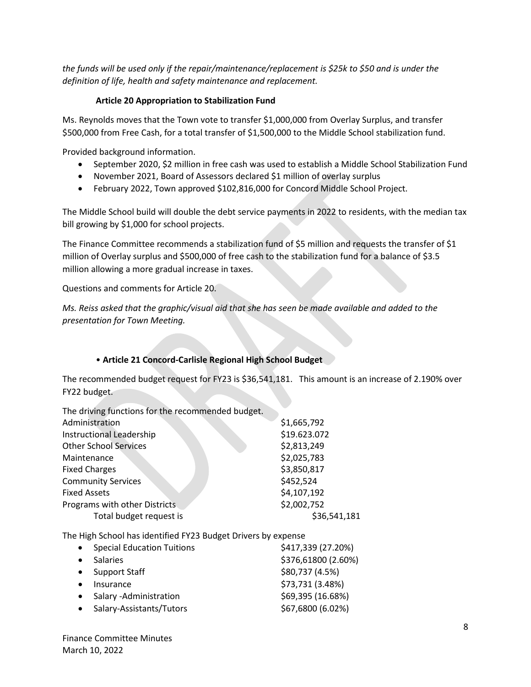*the funds will be used only if the repair/maintenance/replacement is \$25k to \$50 and is under the definition of life, health and safety maintenance and replacement.*

#### **Article 20 Appropriation to Stabilization Fund**

Ms. Reynolds moves that the Town vote to transfer \$1,000,000 from Overlay Surplus, and transfer \$500,000 from Free Cash, for a total transfer of \$1,500,000 to the Middle School stabilization fund.

Provided background information.

- September 2020, \$2 million in free cash was used to establish a Middle School Stabilization Fund
- November 2021, Board of Assessors declared \$1 million of overlay surplus
- February 2022, Town approved \$102,816,000 for Concord Middle School Project.

The Middle School build will double the debt service payments in 2022 to residents, with the median tax bill growing by \$1,000 for school projects.

The Finance Committee recommends a stabilization fund of \$5 million and requests the transfer of \$1 million of Overlay surplus and \$500,000 of free cash to the stabilization fund for a balance of \$3.5 million allowing a more gradual increase in taxes.

Questions and comments for Article 20.

*Ms. Reiss asked that the graphic/visual aid that she has seen be made available and added to the presentation for Town Meeting.*

## • **Article 21 Concord-Carlisle Regional High School Budget**

The recommended budget request for FY23 is \$36,541,181. This amount is an increase of 2.190% over FY22 budget.

The driving functions for the recommended budget. Administration  $\frac{1}{2}$  and  $\frac{1}{6}$  and  $\frac{1}{2}$  and  $\frac{1}{6}$  and  $\frac{1}{2}$  and  $\frac{1}{2}$  and  $\frac{1}{2}$  and  $\frac{1}{2}$  and  $\frac{1}{2}$  and  $\frac{1}{2}$  and  $\frac{1}{2}$  and  $\frac{1}{2}$  and  $\frac{1}{2}$  and  $\frac{1}{2}$  and  $\frac{1}{2}$  a

|                               | ---------    |
|-------------------------------|--------------|
| Instructional Leadership      | \$19.623.072 |
| <b>Other School Services</b>  | \$2,813,249  |
| Maintenance                   | \$2,025,783  |
| <b>Fixed Charges</b>          | \$3,850,817  |
| <b>Community Services</b>     | \$452,524    |
| <b>Fixed Assets</b>           | \$4,107,192  |
| Programs with other Districts | \$2,002,752  |
| Total budget request is       | \$36,541,181 |
|                               |              |

The High School has identified FY23 Budget Drivers by expense

| $\bullet$ | <b>Special Education Tuitions</b> | \$417,339 (27.20%)  |
|-----------|-----------------------------------|---------------------|
|           | <b>Salaries</b>                   | \$376,61800 (2.60%) |
| $\bullet$ | <b>Support Staff</b>              | \$80,737 (4.5%)     |
|           | Insurance                         | \$73,731 (3.48%)    |
|           | Salary - Administration           | \$69,395 (16.68%)   |
|           | Salary-Assistants/Tutors          | \$67,6800 (6.02%)   |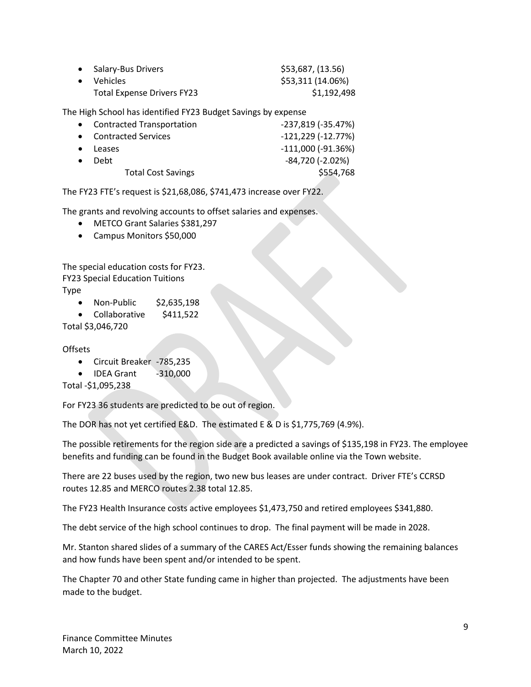| • Salary-Bus Drivers              | \$53,687, (13.56) |
|-----------------------------------|-------------------|
| • Vehicles                        | \$53,311 (14.06%) |
| <b>Total Expense Drivers FY23</b> | \$1,192,498       |

The High School has identified FY23 Budget Savings by expense

| • Contracted Transportation | $-237,819$ ( $-35.47%$ )  |
|-----------------------------|---------------------------|
| <b>Contracted Services</b>  | $-121,229$ ( $-12.77%$ )  |
| Leases                      | $-111,000$ ( $-91.36\%$ ) |
| Debt                        | $-84,720$ ( $-2.02\%$ )   |
| <b>Total Cost Savings</b>   | \$554,768                 |
|                             |                           |

The FY23 FTE's request is \$21,68,086, \$741,473 increase over FY22.

The grants and revolving accounts to offset salaries and expenses.

- METCO Grant Salaries \$381,297
- Campus Monitors \$50,000

The special education costs for FY23. FY23 Special Education Tuitions

Type

- Non-Public \$2,635,198
- Collaborative \$411,522

Total \$3,046,720

**Offsets** 

- Circuit Breaker -785,235
- IDEA Grant -310,000

Total -\$1,095,238

For FY23 36 students are predicted to be out of region.

The DOR has not yet certified E&D. The estimated E & D is \$1,775,769 (4.9%).

The possible retirements for the region side are a predicted a savings of \$135,198 in FY23. The employee benefits and funding can be found in the Budget Book available online via the Town website.

There are 22 buses used by the region, two new bus leases are under contract. Driver FTE's CCRSD routes 12.85 and MERCO routes 2.38 total 12.85.

The FY23 Health Insurance costs active employees \$1,473,750 and retired employees \$341,880.

The debt service of the high school continues to drop. The final payment will be made in 2028.

Mr. Stanton shared slides of a summary of the CARES Act/Esser funds showing the remaining balances and how funds have been spent and/or intended to be spent.

The Chapter 70 and other State funding came in higher than projected. The adjustments have been made to the budget.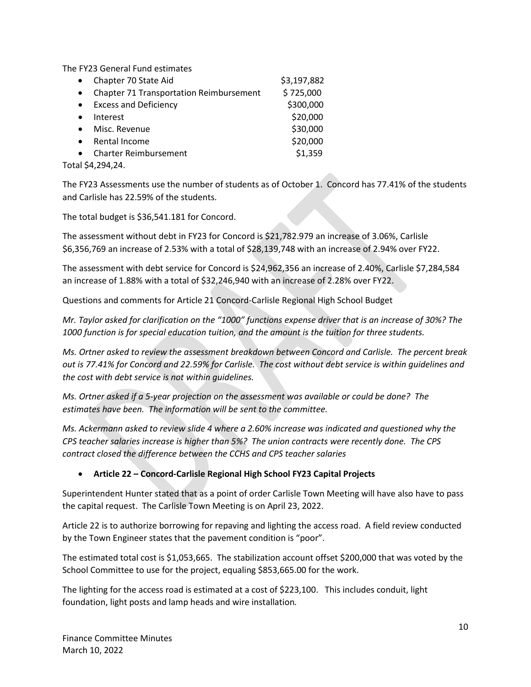The FY23 General Fund estimates

| Chapter 70 State Aid<br>$\bullet$                           | \$3,197,882 |
|-------------------------------------------------------------|-------------|
| <b>Chapter 71 Transportation Reimbursement</b><br>$\bullet$ | \$725,000   |
| <b>Excess and Deficiency</b><br>$\bullet$                   | \$300,000   |
| Interest<br>$\bullet$                                       | \$20,000    |
| Misc. Revenue<br>$\bullet$                                  | \$30,000    |
| Rental Income<br>$\bullet$                                  | \$20,000    |
| <b>Charter Reimbursement</b><br>$\bullet$                   | \$1,359     |
| Total \$4,294,24.                                           |             |

The FY23 Assessments use the number of students as of October 1. Concord has 77.41% of the students and Carlisle has 22.59% of the students.

The total budget is \$36,541.181 for Concord.

The assessment without debt in FY23 for Concord is \$21,782.979 an increase of 3.06%, Carlisle \$6,356,769 an increase of 2.53% with a total of \$28,139,748 with an increase of 2.94% over FY22.

The assessment with debt service for Concord is \$24,962,356 an increase of 2.40%, Carlisle \$7,284,584 an increase of 1.88% with a total of \$32,246,940 with an increase of 2.28% over FY22.

Questions and comments for Article 21 Concord-Carlisle Regional High School Budget

*Mr. Taylor asked for clarification on the "1000" functions expense driver that is an increase of 30%? The 1000 function is for special education tuition, and the amount is the tuition for three students.* 

*Ms. Ortner asked to review the assessment breakdown between Concord and Carlisle. The percent break out is 77.41% for Concord and 22.59% for Carlisle. The cost without debt service is within guidelines and the cost with debt service is not within guidelines.*

*Ms. Ortner asked if a 5-year projection on the assessment was available or could be done? The estimates have been. The information will be sent to the committee.*

*Ms. Ackermann asked to review slide 4 where a 2.60% increase was indicated and questioned why the CPS teacher salaries increase is higher than 5%? The union contracts were recently done. The CPS contract closed the difference between the CCHS and CPS teacher salaries* 

## • **Article 22 – Concord-Carlisle Regional High School FY23 Capital Projects**

Superintendent Hunter stated that as a point of order Carlisle Town Meeting will have also have to pass the capital request. The Carlisle Town Meeting is on April 23, 2022.

Article 22 is to authorize borrowing for repaving and lighting the access road. A field review conducted by the Town Engineer states that the pavement condition is "poor".

The estimated total cost is \$1,053,665. The stabilization account offset \$200,000 that was voted by the School Committee to use for the project, equaling \$853,665.00 for the work.

The lighting for the access road is estimated at a cost of \$223,100. This includes conduit, light foundation, light posts and lamp heads and wire installation*.*